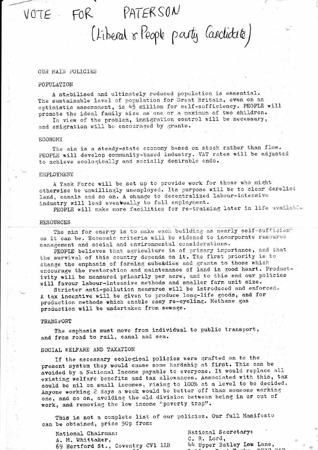# VOTE FOR PATERSON

(Liberal & People party Candidate)

#### OUR MAIN\_POLICIES

### POPULATION

A stabilised and ultimately reduced population is essential. The sustainable level of population for Great Britain, even on an optimistic assessment, is 45 million for self-sufficiency. PEOPLE will promote the ideal family size as one or a maximum of two children.

In view of the problem, immigration control will be necessary, and emigration will be encouraged by grants.

#### ECONOMY

The aim is a steady-state economy based on stock rather than flow. PEOPLE will develop community-based industry. VAT rates will be adjusted to achieve ecologically and socially desirable ends.

#### **EMPLOYMENT**

<sup>A</sup> Task Force will be set up to provide work for those who might otherwise be unwillingly unemployed. Its purpose will be to clear derelict land, canals and so on. A change to decentralized labour-intensive industry will lead eventually to full employment.

PEOPLE will make more facilities for re-training later in life available

#### **RESOURCES**

OURCES<br>The aim for energy is to make each building as nearly self-sufficien<sup>\*</sup> as it can be. Economic criteria will be widened to incorporate resource management and social and environmental considerations.

PEOPLE believes that agriculture is of primary importance, and that the Survival of this country depends on it. The first priority is to change the emphasis of farming subsidies and grants to those which encourage the restoration and maintenance of land in good heart. Productivity will be measured primarily per acre, and to this end our policies will favour labour-intensive methods and smaller farm unit size.<br>Stricter anti-pollution measures will be introduced and enforced.

A tax incentive will be given to produce long-life goods, and for production methods which enable easy re-cycling. Methane gas production will be undertaken from sewage.

#### TRANSPORT

The emphasis must move from individual to public transport, and from road to rail, canal and sea.

#### SOCIAL WELFARE AND TAXATION

If the necessary ecological policies were grafted on to the present system they would cause some hardship at first. This can be avoided by <sup>a</sup> National Income payable to everyone. It would replace all existing welfare benefits and tax allowances. Associated with this, tax could be nil on small incomes, rising to 100% at <sup>a</sup> level to be decided. Anyone working 2 days a week would be better off than someone working one, and so on, avoiding the old division between being in or out of work, and removing the low income "poverty trap".

This is not a complete list of our policies. Our full Manifesto can be obtained, price 50p from:

National Chairman:<br>  $M$  Whittaker.<br>  $M$  Whittaker.<br>  $M$  M. Whittaker.<br>  $M$  M. Whittaker. A. M. Whittaker, 69 Hertford St., Coventry CV1 1LB

44 Upper Batley Low Lane,